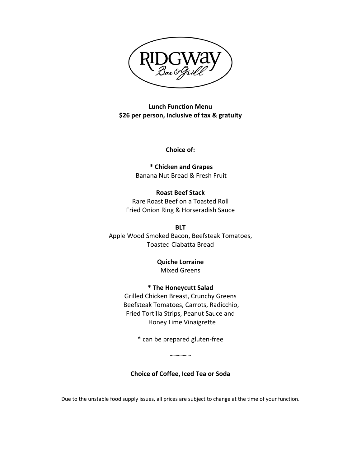

**Lunch Function Menu \$26 per person, inclusive of tax & gratuity**

**Choice of:**

**\* Chicken and Grapes** Banana Nut Bread & Fresh Fruit

**Roast Beef Stack** Rare Roast Beef on a Toasted Roll Fried Onion Ring & Horseradish Sauce

**BLT** Apple Wood Smoked Bacon, Beefsteak Tomatoes, Toasted Ciabatta Bread

> **Quiche Lorraine** Mixed Greens

**\* The Honeycutt Salad** Grilled Chicken Breast, Crunchy Greens Beefsteak Tomatoes, Carrots, Radicchio, Fried Tortilla Strips, Peanut Sauce and Honey Lime Vinaigrette

\* can be prepared gluten-free

~~~~~~

# **Choice of Coffee, Iced Tea or Soda**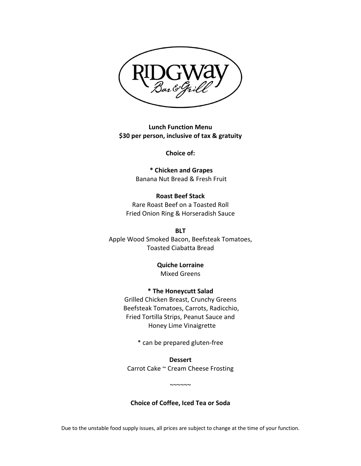

**Lunch Function Menu \$30 per person, inclusive of tax & gratuity**

**Choice of:**

**\* Chicken and Grapes** Banana Nut Bread & Fresh Fruit

**Roast Beef Stack** Rare Roast Beef on a Toasted Roll Fried Onion Ring & Horseradish Sauce

**BLT** Apple Wood Smoked Bacon, Beefsteak Tomatoes, Toasted Ciabatta Bread

> **Quiche Lorraine** Mixed Greens

**\* The Honeycutt Salad** Grilled Chicken Breast, Crunchy Greens Beefsteak Tomatoes, Carrots, Radicchio, Fried Tortilla Strips, Peanut Sauce and Honey Lime Vinaigrette

\* can be prepared gluten-free

**Dessert** Carrot Cake ~ Cream Cheese Frosting

 $~\sim\sim\sim\sim\sim$ 

**Choice of Coffee, Iced Tea or Soda**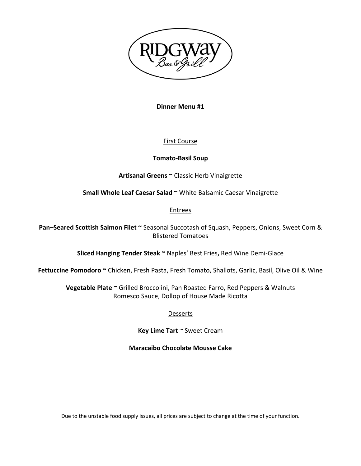

**Dinner Menu #1**

# First Course

### **Tomato-Basil Soup**

**Artisanal Greens ~** Classic Herb Vinaigrette

**Small Whole Leaf Caesar Salad ~** White Balsamic Caesar Vinaigrette

### Entrees

**Pan–Seared Scottish Salmon Filet ~** Seasonal Succotash of Squash, Peppers, Onions, Sweet Corn & Blistered Tomatoes

**Sliced Hanging Tender Steak ~** Naples' Best Fries**,** Red Wine Demi-Glace

**Fettuccine Pomodoro ~** Chicken, Fresh Pasta, Fresh Tomato, Shallots, Garlic, Basil, Olive Oil & Wine

**Vegetable Plate ~** Grilled Broccolini, Pan Roasted Farro, Red Peppers & Walnuts Romesco Sauce, Dollop of House Made Ricotta

# **Desserts**

**Key Lime Tart** ~ Sweet Cream

**Maracaibo Chocolate Mousse Cake**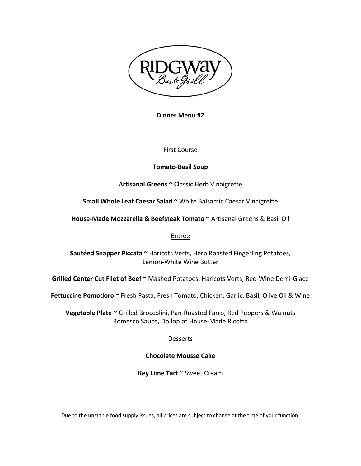

**Dinner Menu #2**

### First Course

### **Tomato-Basil Soup**

**Artisanal Greens ~** Classic Herb Vinaigrette

**Small Whole Leaf Caesar Salad ~** White Balsamic Caesar Vinaigrette

**House-Made Mozzarella & Beefsteak Tomato ~** Artisanal Greens & Basil Oil

#### Entrée

**Sautéed Snapper Piccata ~** Haricots Verts, Herb Roasted Fingerling Potatoes, Lemon-White Wine Butter

**Grilled Center Cut Filet of Beef ~** Mashed Potatoes, Haricots Verts, Red-Wine Demi-Glace

**Fettuccine Pomodoro ~** Fresh Pasta, Fresh Tomato, Chicken, Garlic, Basil, Olive Oil & Wine

**Vegetable Plate ~** Grilled Broccolini, Pan-Roasted Farro, Red Peppers & Walnuts Romesco Sauce, Dollop of House-Made Ricotta

### **Desserts**

#### **Chocolate Mousse Cake**

**Key Lime Tart ~** Sweet Cream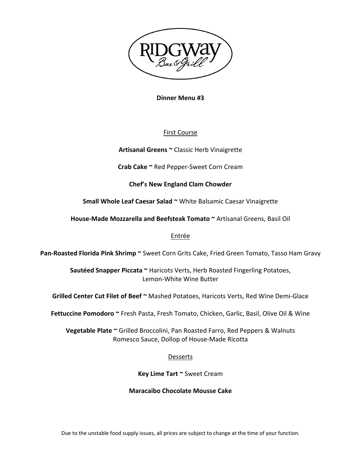

**Dinner Menu #3**

# First Course

**Artisanal Greens ~** Classic Herb Vinaigrette

**Crab Cake ~** Red Pepper-Sweet Corn Cream

**Chef's New England Clam Chowder**

**Small Whole Leaf Caesar Salad ~** White Balsamic Caesar Vinaigrette

**House-Made Mozzarella and Beefsteak Tomato ~** Artisanal Greens, Basil Oil

# Entrée

**Pan-Roasted Florida Pink Shrimp ~** Sweet Corn Grits Cake, Fried Green Tomato, Tasso Ham Gravy

**Sautéed Snapper Piccata ~** Haricots Verts, Herb Roasted Fingerling Potatoes, Lemon-White Wine Butter

**Grilled Center Cut Filet of Beef ~** Mashed Potatoes, Haricots Verts, Red Wine Demi-Glace

**Fettuccine Pomodoro ~** Fresh Pasta, Fresh Tomato, Chicken, Garlic, Basil, Olive Oil & Wine

**Vegetable Plate ~** Grilled Broccolini, Pan Roasted Farro, Red Peppers & Walnuts Romesco Sauce, Dollop of House-Made Ricotta

# Desserts

**Key Lime Tart ~** Sweet Cream

### **Maracaibo Chocolate Mousse Cake**